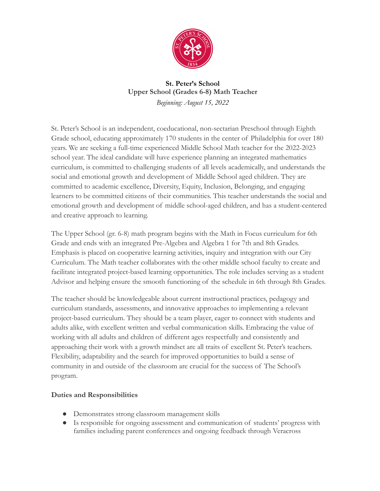

## **St. Peter's School Upper School (Grades 6-8) Math Teacher** *Beginning: August 15, 2022*

St. Peter's School is an independent, coeducational, non-sectarian Preschool through Eighth Grade school, educating approximately 170 students in the center of Philadelphia for over 180 years. We are seeking a full-time experienced Middle School Math teacher for the 2022-2023 school year. The ideal candidate will have experience planning an integrated mathematics curriculum, is committed to challenging students of all levels academically, and understands the social and emotional growth and development of Middle School aged children. They are committed to academic excellence, Diversity, Equity, Inclusion, Belonging, and engaging learners to be committed citizens of their communities. This teacher understands the social and emotional growth and development of middle school-aged children, and has a student-centered and creative approach to learning.

The Upper School (gr. 6-8) math program begins with the Math in Focus curriculum for 6th Grade and ends with an integrated Pre-Algebra and Algebra 1 for 7th and 8th Grades. Emphasis is placed on cooperative learning activities, inquiry and integration with our City Curriculum. The Math teacher collaborates with the other middle school faculty to create and facilitate integrated project-based learning opportunities. The role includes serving as a student Advisor and helping ensure the smooth functioning of the schedule in 6th through 8th Grades.

The teacher should be knowledgeable about current instructional practices, pedagogy and curriculum standards, assessments, and innovative approaches to implementing a relevant project-based curriculum. They should be a team player, eager to connect with students and adults alike, with excellent written and verbal communication skills. Embracing the value of working with all adults and children of different ages respectfully and consistently and approaching their work with a growth mindset are all traits of excellent St. Peter's teachers. Flexibility, adaptability and the search for improved opportunities to build a sense of community in and outside of the classroom are crucial for the success of The School's program.

## **Duties and Responsibilities**

- Demonstrates strong classroom management skills
- Is responsible for ongoing assessment and communication of students' progress with families including parent conferences and ongoing feedback through Veracross